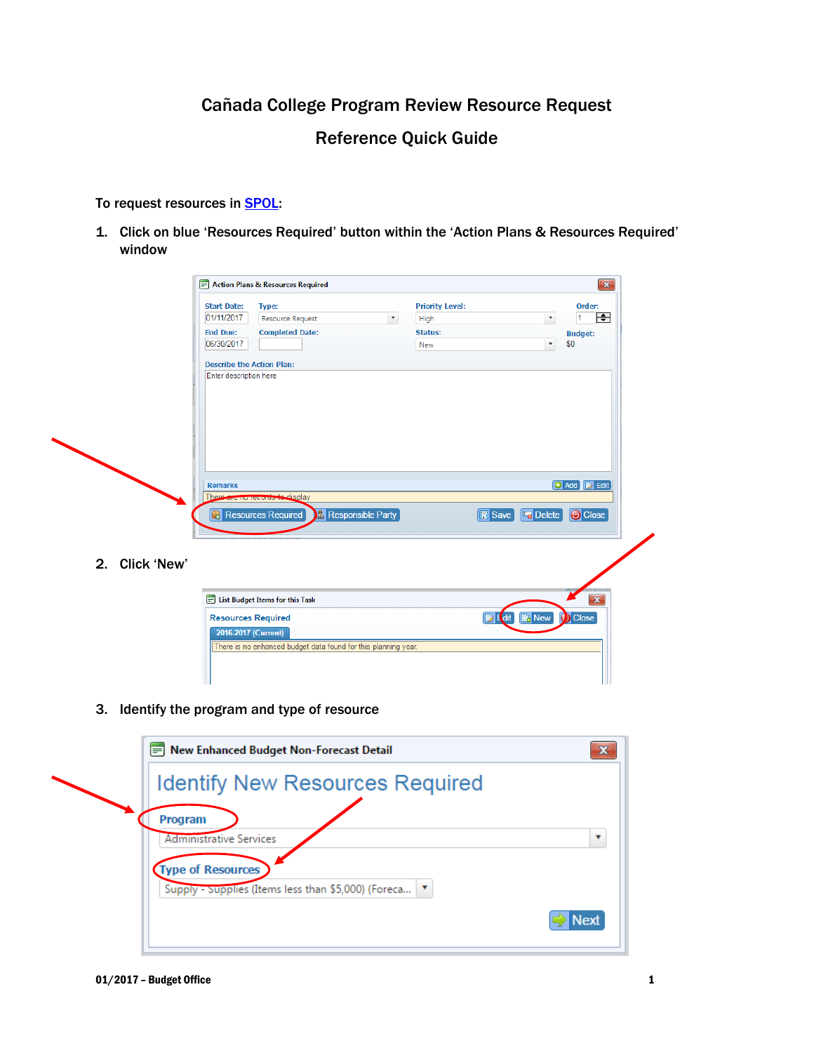# Cañada College Program Review Resource Request

# Reference Quick Guide

### To request resources in **SPOL:**

1. Click on blue 'Resources Required' button within the 'Action Plans & Resources Required' window

|                | <b>Start Date:</b>               | Type:                                                          |                           | <b>Priority Level:</b> |                                       | Order:                  |
|----------------|----------------------------------|----------------------------------------------------------------|---------------------------|------------------------|---------------------------------------|-------------------------|
|                | 01/11/2017                       | <b>Resource Request</b>                                        | $\boldsymbol{\mathrm{v}}$ | High                   |                                       | ╒╕<br>۳<br>l1           |
|                | <b>End Due:</b>                  | <b>Completed Date:</b>                                         |                           | <b>Status:</b>         |                                       | <b>Budget:</b>          |
|                | 06/30/2017                       |                                                                |                           | New                    |                                       | \$0<br>۷                |
|                | <b>Describe the Action Plan:</b> |                                                                |                           |                        |                                       |                         |
|                | Enter description here           |                                                                |                           |                        |                                       |                         |
|                |                                  |                                                                |                           |                        |                                       |                         |
|                |                                  |                                                                |                           |                        |                                       |                         |
|                |                                  |                                                                |                           |                        |                                       |                         |
|                |                                  |                                                                |                           |                        |                                       |                         |
|                |                                  |                                                                |                           |                        |                                       |                         |
|                |                                  |                                                                |                           |                        |                                       |                         |
|                |                                  |                                                                |                           |                        |                                       |                         |
|                |                                  |                                                                |                           |                        |                                       |                         |
|                |                                  |                                                                |                           |                        |                                       |                         |
|                |                                  |                                                                |                           |                        |                                       |                         |
|                |                                  |                                                                |                           |                        |                                       |                         |
|                | <b>Remarks</b>                   |                                                                |                           |                        |                                       | <b>+ Add B</b> Edit     |
|                |                                  | There are no records to display                                |                           |                        |                                       |                         |
|                |                                  |                                                                |                           |                        |                                       |                         |
|                |                                  | <b>Responsible Party</b><br><b>Resources Required</b>          |                           |                        | <b>Fo</b> Delete                      | <b>O</b> Close          |
|                |                                  |                                                                |                           |                        |                                       |                         |
|                |                                  |                                                                |                           |                        |                                       |                         |
|                |                                  |                                                                |                           |                        |                                       |                         |
| 2. Click 'New' |                                  |                                                                |                           |                        |                                       |                         |
|                |                                  |                                                                |                           |                        |                                       |                         |
|                |                                  |                                                                |                           |                        |                                       |                         |
|                |                                  |                                                                |                           |                        |                                       |                         |
|                |                                  | List Budget Items for this Task                                |                           |                        |                                       | $\overline{\mathbf{x}}$ |
|                | <b>Resources Required</b>        |                                                                |                           |                        | <b>E</b> dit<br>$\mathbb{R}$ New<br>D | <b>O</b> Close          |
|                |                                  |                                                                |                           |                        |                                       |                         |
|                | 2016-2017 (Current)              | There is no enhanced budget data found for this planning year. |                           |                        |                                       |                         |

3. Identify the program and type of resource

| New Enhanced Budget Non-Forecast Detail                                                                                        |             |
|--------------------------------------------------------------------------------------------------------------------------------|-------------|
| <b>Identify New Resources Required</b>                                                                                         |             |
| Program<br><b>Administrative Services</b><br><b>Type of Resources</b><br>Supply - Supplies (Items less than \$5,000) (Foreca \ |             |
|                                                                                                                                | <b>Next</b> |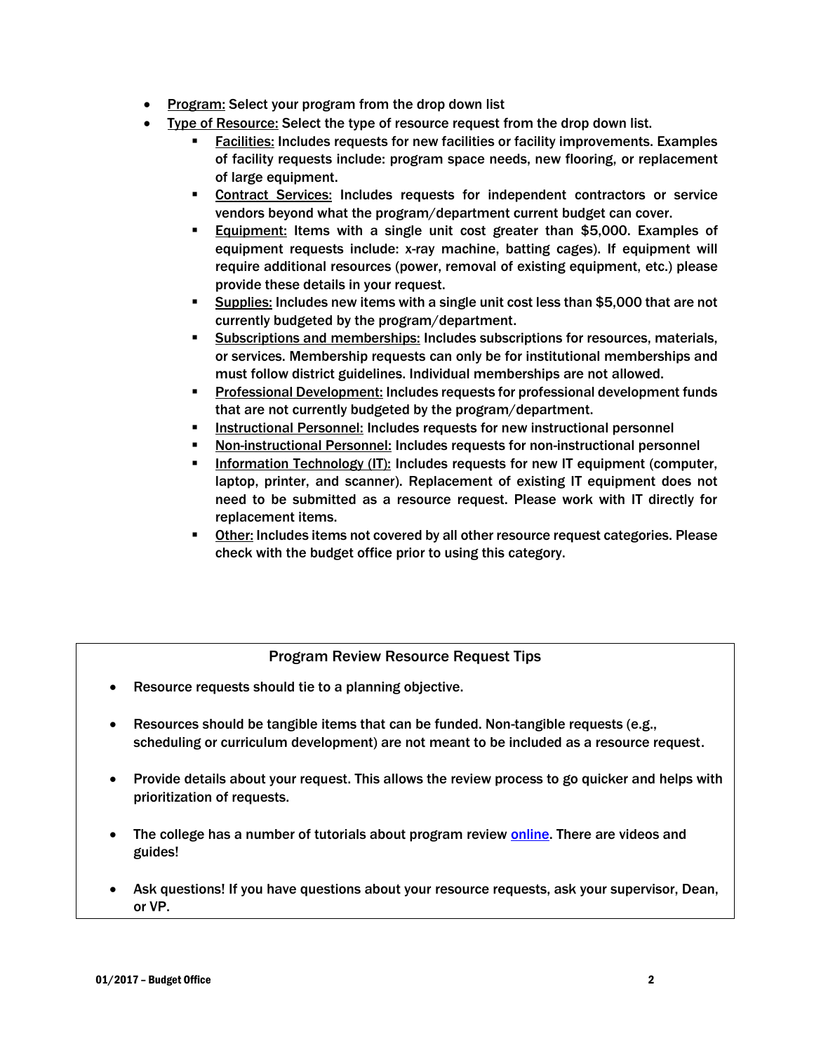- Program: Select your program from the drop down list
- Type of Resource: Select the type of resource request from the drop down list.
	- Facilities: Includes requests for new facilities or facility improvements. Examples of facility requests include: program space needs, new flooring, or replacement of large equipment.
	- **Contract Services: Includes requests for independent contractors or service** vendors beyond what the program/department current budget can cover.
	- Equipment: Items with a single unit cost greater than \$5,000. Examples of equipment requests include: x-ray machine, batting cages). If equipment will require additional resources (power, removal of existing equipment, etc.) please provide these details in your request.
	- Supplies: Includes new items with a single unit cost less than \$5,000 that are not currently budgeted by the program/department.
	- Subscriptions and memberships: Includes subscriptions for resources, materials, or services. Membership requests can only be for institutional memberships and must follow district guidelines. Individual memberships are not allowed.
	- Professional Development: Includes requests for professional development funds that are not currently budgeted by the program/department.
	- **Instructional Personnel: Includes requests for new instructional personnel**
	- **Non-instructional Personnel:** Includes requests for non-instructional personnel
	- Information Technology (IT): Includes requests for new IT equipment (computer, laptop, printer, and scanner). Replacement of existing IT equipment does not need to be submitted as a resource request. Please work with IT directly for replacement items.
	- Other: Includes items not covered by all other resource request categories. Please check with the budget office prior to using this category.

# Program Review Resource Request Tips

- Resource requests should tie to a planning objective.
- Resources should be tangible items that can be funded. Non-tangible requests (e.g., scheduling or curriculum development) are not meant to be included as a resource request.
- Provide details about your request. This allows the review process to go quicker and helps with prioritization of requests.
- The college has a number of tutorials about program review [online.](http://canadacollege.edu/programreview/spol.php) There are videos and guides!
- Ask questions! If you have questions about your resource requests, ask your supervisor, Dean, or VP.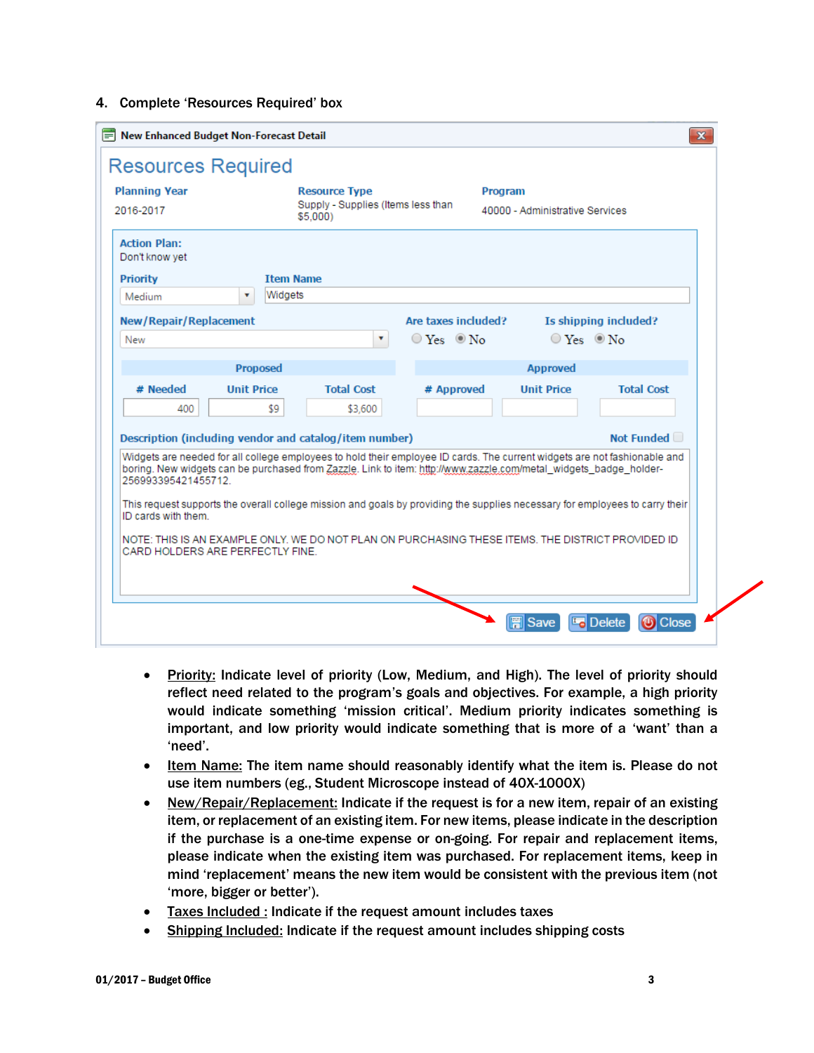### 4. Complete 'Resources Required' box

| <b>Planning Year</b><br>2016-2017     | <b>Resource Type</b><br>Supply - Supplies (Items less than<br>\$5,000)                                                                                                                                                                         | <b>Program</b>         | 40000 - Administrative Services |                   |
|---------------------------------------|------------------------------------------------------------------------------------------------------------------------------------------------------------------------------------------------------------------------------------------------|------------------------|---------------------------------|-------------------|
| <b>Action Plan:</b><br>Don't know yet |                                                                                                                                                                                                                                                |                        |                                 |                   |
| <b>Priority</b>                       | <b>Item Name</b>                                                                                                                                                                                                                               |                        |                                 |                   |
| Medium<br>۷                           | Widgets                                                                                                                                                                                                                                        |                        |                                 |                   |
| New/Repair/Replacement                |                                                                                                                                                                                                                                                | Are taxes included?    | Is shipping included?           |                   |
| New                                   | ۷                                                                                                                                                                                                                                              | $\circ$ Yes $\circ$ No | $\circ$ Yes $\circ$ No          |                   |
|                                       |                                                                                                                                                                                                                                                |                        |                                 |                   |
|                                       | <b>Proposed</b>                                                                                                                                                                                                                                |                        | <b>Approved</b>                 |                   |
| # Needed<br><b>Unit Price</b>         | <b>Total Cost</b>                                                                                                                                                                                                                              | # Approved             | <b>Unit Price</b>               | <b>Total Cost</b> |
| 400                                   | \$9.<br>\$3,600                                                                                                                                                                                                                                |                        |                                 |                   |
|                                       | Description (including vendor and catalog/item number)                                                                                                                                                                                         |                        |                                 | Not Funded        |
|                                       | Widgets are needed for all college employees to hold their employee ID cards. The current widgets are not fashionable and<br>boring. New widgets can be purchased from Zazzle, Link to item: http://www.zazzle.com/metal widgets badge holder- |                        |                                 |                   |

- Priority: Indicate level of priority (Low, Medium, and High). The level of priority should reflect need related to the program's goals and objectives. For example, a high priority would indicate something 'mission critical'. Medium priority indicates something is important, and low priority would indicate something that is more of a 'want' than a 'need'.
- Item Name: The item name should reasonably identify what the item is. Please do not use item numbers (eg., Student Microscope instead of 40X-1000X)
- New/Repair/Replacement: Indicate if the request is for a new item, repair of an existing item, or replacement of an existing item. For new items, please indicate in the description if the purchase is a one-time expense or on-going. For repair and replacement items, please indicate when the existing item was purchased. For replacement items, keep in mind 'replacement' means the new item would be consistent with the previous item (not 'more, bigger or better').
- Taxes Included : Indicate if the request amount includes taxes
- Shipping Included: Indicate if the request amount includes shipping costs